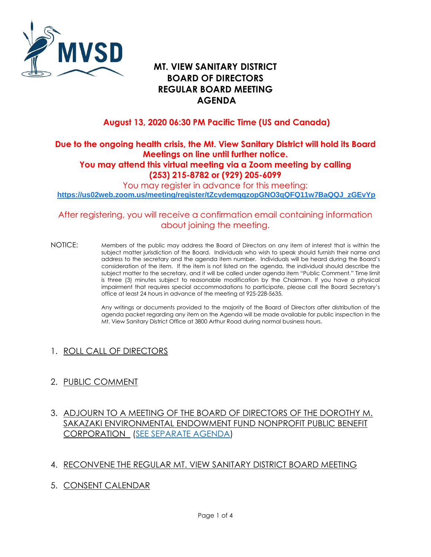

# **MT. VIEW SANITARY DISTRICT BOARD OF DIRECTORS REGULAR BOARD MEETING AGENDA**

## **August 13, 2020 06:30 PM Pacific Time (US and Canada)**

#### **Due to the ongoing health crisis, the Mt. View Sanitary District will hold its Board Meetings on line until further notice. You may attend this virtual meeting via a Zoom meeting by calling (253) 215-8782 or (929) 205-6099**

You may register in advance for this meeting: **[https://us02web.zoom.us/meeting/register/tZcvdemqqzopGNO3qQFQ11w7BaQQJ\\_zGEvYp](https://us02web.zoom.us/meeting/register/tZcvdemqqzopGNO3qQFQ11w7BaQQJ_zGEvYp)**

### After registering, you will receive a confirmation email containing information about joining the meeting.

NOTICE: Members of the public may address the Board of Directors on any item of interest that is within the subject matter jurisdiction of the Board. Individuals who wish to speak should furnish their name and address to the secretary and the agenda item number. Individuals will be heard during the Board's consideration of the item. If the item is not listed on the agenda, the individual should describe the subject matter to the secretary, and it will be called under agenda item "Public Comment." Time limit is three (3) minutes subject to reasonable modification by the Chairman. If you have a physical impairment that requires special accommodations to participate, please call the Board Secretary's office at least 24 hours in advance of the meeting at 925-228-5635.

> Any writings or documents provided to the majority of the Board of Directors after distribution of the agenda packet regarding any item on the Agenda will be made available for public inspection in the Mt. View Sanitary District Office at 3800 Arthur Road during normal business hours.

## 1. ROLL CALL OF DIRECTORS

### 2. PUBLIC COMMENT

### 3. ADJOURN TO A MEETING OF THE BOARD OF DIRECTORS OF THE DOROTHY M. SAKAZAKI ENVIRONMENTAL ENDOWMENT FUND NONPROFIT PUBLIC BENEFIT CORPORATION [\(SEE SEPARATE AGENDA\)](https://mvsd.org/wp-content/uploads/2020/08/A-8-13-2020-DMS-EEF-LINKED.pdf)

#### 4. RECONVENE THE REGULAR MT. VIEW SANITARY DISTRICT BOARD MEETING

5. CONSENT CALENDAR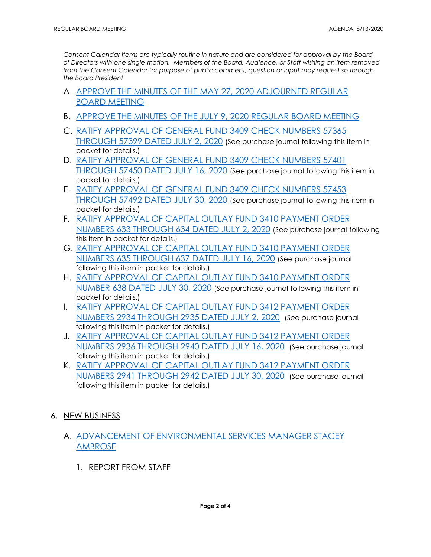*Consent Calendar items are typically routine in nature and are considered for approval by the Board of Directors with one single motion. Members of the Board, Audience, or Staff wishing an item removed*  from the Consent Calendar for purpose of public comment, question or input may request so through *the Board President*

- A. APPROVE [THE MINUTES OF THE MAY](https://mvsd.org/wp-content/uploads/2020/08/2020-08-13-ITEM-5A.pdf) 27, 2020 ADJOURNED REGULAR [BOARD MEETING](https://mvsd.org/wp-content/uploads/2020/08/2020-08-13-ITEM-5A.pdf)
- B. [APPROVE THE MINUTES OF THE JULY 9, 2020 REGULAR BOARD MEETING](https://mvsd.org/wp-content/uploads/2020/08/2020-08-13-ITEM-5B.pdf)
- C. [RATIFY APPROVAL OF GENERAL FUND 3409 CHECK NUMBERS](https://mvsd.org/wp-content/uploads/2020/08/2020-08-13-ITEM-5C.pdf) 57365 [THROUGH 57399](https://mvsd.org/wp-content/uploads/2020/08/2020-08-13-ITEM-5C.pdf) DATED JULY 2, 2020 (See purchase journal following this item in packet for details.)
- D. [RATIFY APPROVAL OF GENERAL FUND 3409 CHECK NUMBERS 57401](https://mvsd.org/wp-content/uploads/2020/08/2020-08-13-ITEM-5D.pdf)  [THROUGH 57450 DATED JULY 16, 2020](https://mvsd.org/wp-content/uploads/2020/08/2020-08-13-ITEM-5D.pdf) (See purchase journal following this item in packet for details.)
- E. [RATIFY APPROVAL OF GENERAL FUND 3409 CHECK NUMBERS 57453](https://mvsd.org/wp-content/uploads/2020/08/2020-08-13-ITEM-5E.pdf)  [THROUGH 57492 DATED JULY 30, 2020](https://mvsd.org/wp-content/uploads/2020/08/2020-08-13-ITEM-5E.pdf) (See purchase journal following this item in packet for details.)
- F. [RATIFY APPROVAL OF CAPITAL OUTLAY FUND 3410 PAYMENT ORDER](https://mvsd.org/wp-content/uploads/2020/08/2020-08-13-ITEM-5F.pdf)  [NUMBERS 633 THROUGH 634 DATED JULY 2, 2020](https://mvsd.org/wp-content/uploads/2020/08/2020-08-13-ITEM-5F.pdf) (See purchase journal following this item in packet for details.)
- G. [RATIFY APPROVAL OF CAPITAL OUTLAY FUND 3410 PAYMENT ORDER](https://mvsd.org/wp-content/uploads/2020/08/2020-08-13-ITEM-5G.pdf)  [NUMBERS 635 THROUGH 637 DATED JULY 16, 2020](https://mvsd.org/wp-content/uploads/2020/08/2020-08-13-ITEM-5G.pdf) (See purchase journal following this item in packet for details.)
- H. [RATIFY APPROVAL OF CAPITAL OUTLAY FUND 3410 PAYMENT ORDER](https://mvsd.org/wp-content/uploads/2020/08/2020-08-13-ITEM-5H.pdf)  [NUMBER 638 DATED JULY 30, 2020](https://mvsd.org/wp-content/uploads/2020/08/2020-08-13-ITEM-5H.pdf) (See purchase journal following this item in packet for details.)
- I. [RATIFY APPROVAL OF CAPITAL OUTLAY FUND 3412 PAYMENT ORDER](https://mvsd.org/wp-content/uploads/2020/08/2020-08-13-ITEM-5I.pdf)  NUMBERS 2934 [THROUGH 2935](https://mvsd.org/wp-content/uploads/2020/08/2020-08-13-ITEM-5I.pdf) DATED JULY 2, 2020 (See purchase journal following this item in packet for details.)
- J. [RATIFY APPROVAL OF CAPITAL OUTLAY FUND 3412 PAYMENT ORDER](https://mvsd.org/wp-content/uploads/2020/08/2020-08-13-ITEM-5J.pdf)  NUMBERS 2936 [THROUGH 2940](https://mvsd.org/wp-content/uploads/2020/08/2020-08-13-ITEM-5J.pdf) DATED JULY 16, 2020 (See purchase journal following this item in packet for details.)
- K. [RATIFY APPROVAL OF CAPITAL OUTLAY FUND 3412 PAYMENT ORDER](https://mvsd.org/wp-content/uploads/2020/08/2020-08-13-ITEM-5K.pdf)  NUMBERS 2941 THROUGH 2942 [DATED JULY 30, 2020](https://mvsd.org/wp-content/uploads/2020/08/2020-08-13-ITEM-5K.pdf) (See purchase journal following this item in packet for details.)
- 6. NEW BUSINESS
	- A. [ADVANCEMENT OF ENVIRONMENTAL SERVICES MANAGER STACEY](https://mvsd.org/wp-content/uploads/2020/08/2020-08-13-ITEM-6A.pdf)  [AMBROSE](https://mvsd.org/wp-content/uploads/2020/08/2020-08-13-ITEM-6A.pdf)
		- 1. REPORT FROM STAFF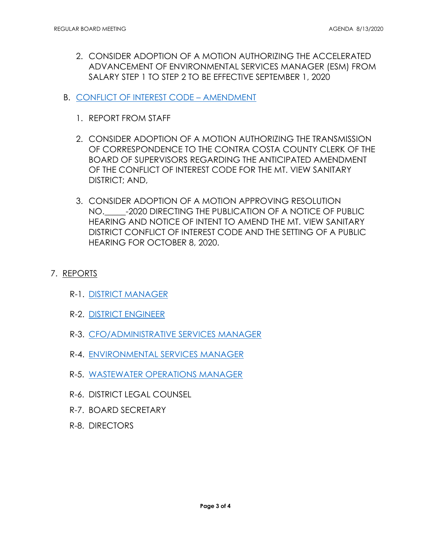- 2. CONSIDER ADOPTION OF A MOTION AUTHORIZING THE ACCELERATED ADVANCEMENT OF ENVIRONMENTAL SERVICES MANAGER (ESM) FROM SALARY STEP 1 TO STEP 2 TO BE EFFECTIVE SEPTEMBER 1, 2020
- B. [CONFLICT OF INTEREST CODE](https://mvsd.org/wp-content/uploads/2020/08/2020-08-13-ITEM-6B.pdf)  AMENDMENT
	- 1. REPORT FROM STAFF
	- 2. CONSIDER ADOPTION OF A MOTION AUTHORIZING THE TRANSMISSION OF CORRESPONDENCE TO THE CONTRA COSTA COUNTY CLERK OF THE BOARD OF SUPERVISORS REGARDING THE ANTICIPATED AMENDMENT OF THE CONFLICT OF INTEREST CODE FOR THE MT. VIEW SANITARY DISTRICT; AND,
	- 3. CONSIDER ADOPTION OF A MOTION APPROVING RESOLUTION NO.\_\_\_\_\_-2020 DIRECTING THE PUBLICATION OF A NOTICE OF PUBLIC HEARING AND NOTICE OF INTENT TO AMEND THE MT. VIEW SANITARY DISTRICT CONFLICT OF INTEREST CODE AND THE SETTING OF A PUBLIC HEARING FOR OCTOBER 8, 2020.
- 7. REPORTS
	- R-1. [DISTRICT MANAGER](https://mvsd.org/wp-content/uploads/2020/08/2020-08-13-ITEM-7R-1.pdf)
	- R-2. [DISTRICT ENGINEER](https://mvsd.org/wp-content/uploads/2020/08/2020-08-13-ITEM-7R-2.pdf)
	- R-3. [CFO/ADMINISTRATIVE SERVICES MANAGER](https://mvsd.org/wp-content/uploads/2020/08/2020-08-13-ITEM-7R-3.pdf)
	- R-4. [ENVIRONMENTAL SERVICES MANAGER](https://mvsd.org/wp-content/uploads/2020/08/2020-08-13-ITEM-7R-4.pdf)
	- R-5. [WASTEWATER OPERATIONS MANAGER](https://mvsd.org/wp-content/uploads/2020/08/2020-08-13-ITEM-7R-5.pdf)
	- R-6. DISTRICT LEGAL COUNSEL
	- R-7. BOARD SECRETARY
	- R-8. DIRECTORS